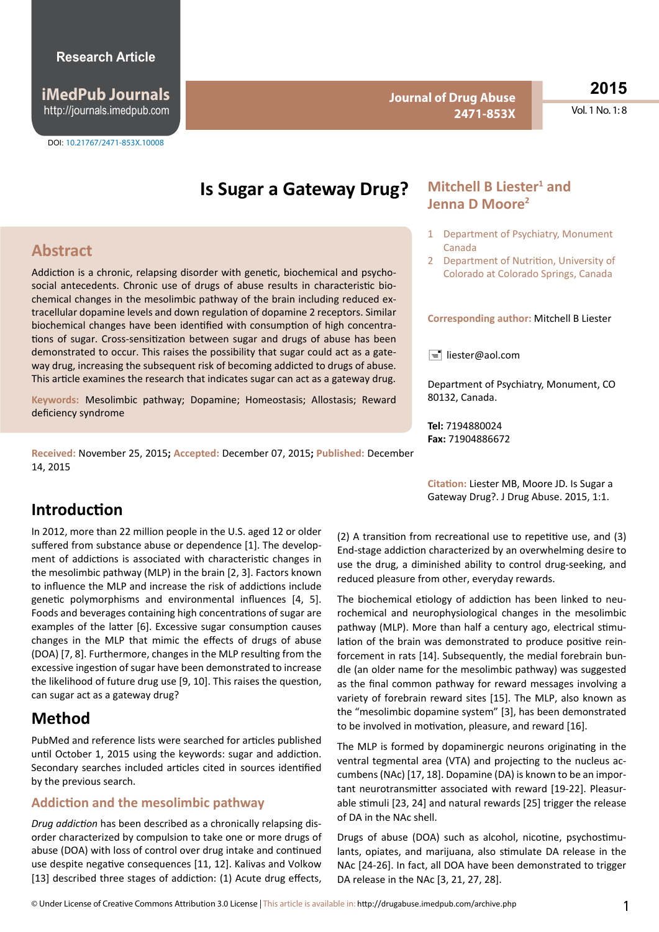**iMedPub Journals** http://journals.imedpub.com

**Journal of Drug Abuse 2471-853X**

**2015**

Vol. 1 No. 1: 8

# **Is Sugar a Gateway Drug?**

# **Abstract**

Addiction is a chronic, relapsing disorder with genetic, biochemical and psychosocial antecedents. Chronic use of drugs of abuse results in characteristic biochemical changes in the mesolimbic pathway of the brain including reduced extracellular dopamine levels and down regulation of dopamine 2 receptors. Similar biochemical changes have been identified with consumption of high concentrations of sugar. Cross-sensitization between sugar and drugs of abuse has been demonstrated to occur. This raises the possibility that sugar could act as a gateway drug, increasing the subsequent risk of becoming addicted to drugs of abuse. This article examines the research that indicates sugar can act as a gateway drug.

**Keywords:** Mesolimbic pathway; Dopamine; Homeostasis; Allostasis; Reward deficiency syndrome

**Received:** November 25, 2015**; Accepted:** December 07, 2015**; Published:** December 14, 2015

# **Mitchell B Liester<sup>1</sup> and Jenna D Moore2**

- 1 Department of Psychiatry, Monument Canada
- 2 Department of Nutrition, University of Colorado at Colorado Springs, Canada

**Corresponding author:** Mitchell B Liester

 $\equiv$  liester@aol.com

Department of Psychiatry, Monument, CO 80132, Canada.

**Tel:** 7194880024 **Fax:** 71904886672

**Citation:** Liester MB, Moore JD. Is Sugar a Gateway Drug?. J Drug Abuse. 2015, 1:1.

# **Introduction**

In 2012, more than 22 million people in the U.S. aged 12 or older suffered from substance abuse or dependence [1]. The development of addictions is associated with characteristic changes in the mesolimbic pathway (MLP) in the brain [2, 3]. Factors known to influence the MLP and increase the risk of addictions include genetic polymorphisms and environmental influences [4, 5]. Foods and beverages containing high concentrations of sugar are examples of the latter [6]. Excessive sugar consumption causes changes in the MLP that mimic the effects of drugs of abuse (DOA) [7, 8]. Furthermore, changes in the MLP resulting from the excessive ingestion of sugar have been demonstrated to increase the likelihood of future drug use [9, 10]. This raises the question, can sugar act as a gateway drug?

# **Method**

PubMed and reference lists were searched for articles published until October 1, 2015 using the keywords: sugar and addiction. Secondary searches included articles cited in sources identified by the previous search.

#### **Addiction and the mesolimbic pathway**

*Drug addiction* has been described as a chronically relapsing disorder characterized by compulsion to take one or more drugs of abuse (DOA) with loss of control over drug intake and continued use despite negative consequences [11, 12]. Kalivas and Volkow [13] described three stages of addiction: (1) Acute drug effects,

(2) A transition from recreational use to repetitive use, and (3) End-stage addiction characterized by an overwhelming desire to use the drug, a diminished ability to control drug-seeking, and reduced pleasure from other, everyday rewards.

The biochemical etiology of addiction has been linked to neurochemical and neurophysiological changes in the mesolimbic pathway (MLP). More than half a century ago, electrical stimulation of the brain was demonstrated to produce positive reinforcement in rats [14]. Subsequently, the medial forebrain bundle (an older name for the mesolimbic pathway) was suggested as the final common pathway for reward messages involving a variety of forebrain reward sites [15]. The MLP, also known as the "mesolimbic dopamine system" [3], has been demonstrated to be involved in motivation, pleasure, and reward [16].

The MLP is formed by dopaminergic neurons originating in the ventral tegmental area (VTA) and projecting to the nucleus accumbens(NAc) [17, 18]. Dopamine (DA) is known to be an important neurotransmitter associated with reward [19-22]. Pleasurable stimuli [23, 24] and natural rewards [25] trigger the release of DA in the NAc shell.

Drugs of abuse (DOA) such as alcohol, nicotine, psychostimulants, opiates, and marijuana, also stimulate DA release in the NAc [24-26]. In fact, all DOA have been demonstrated to trigger DA release in the NAc [3, 21, 27, 28].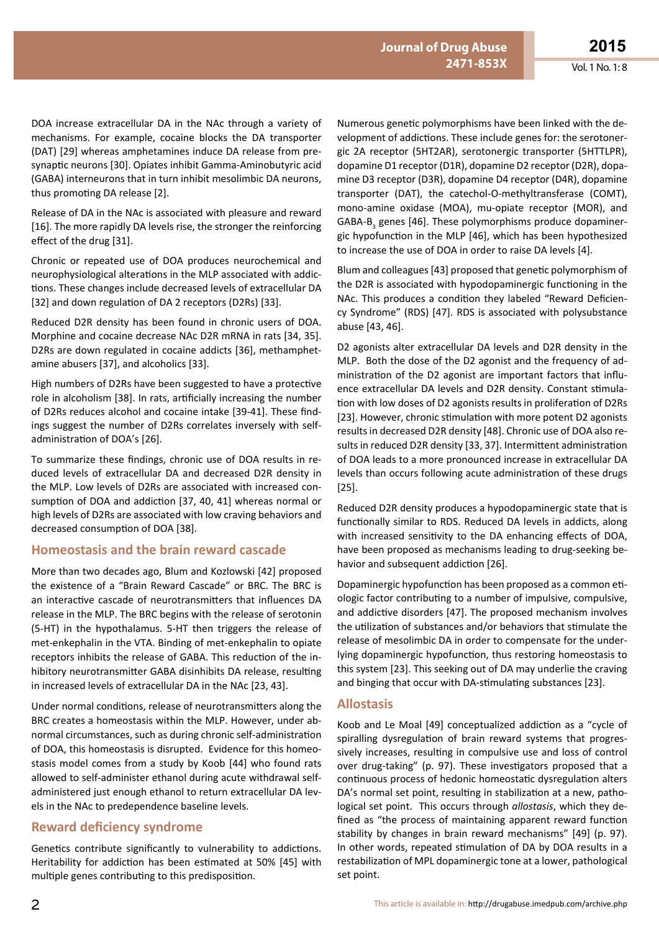DOA increase extracellular DA in the NAc through a variety of mechanisms. For example, cocaine blocks the DA transporter (DAT) [29] whereas amphetamines induce DA release from presynaptic neurons [30]. Opiates inhibit Gamma-Aminobutyric acid (GABA) interneurons that in turn inhibit mesolimbic DA neurons, thus promoting DA release [2].

Release of DA in the NAc is associated with pleasure and reward [16]. The more rapidly DA levels rise, the stronger the reinforcing effect of the drug [31].

Chronic or repeated use of DOA produces neurochemical and neurophysiological alterations in the MLP associated with addictions. These changes include decreased levels of extracellular DA [32] and down regulation of DA 2 receptors (D2Rs) [33].

Reduced D2R density has been found in chronic users of DOA. Morphine and cocaine decrease NAc D2R mRNA in rats [34, 35]. D2Rs are down regulated in cocaine addicts [36], methamphetamine abusers [37], and alcoholics [33].

High numbers of D2Rs have been suggested to have a protective role in alcoholism [38]. In rats, artificially increasing the number of D2Rs reduces alcohol and cocaine intake [39-41]. These findings suggest the number of D2Rs correlates inversely with selfadministration of DOA's [26].

To summarize these findings, chronic use of DOA results in reduced levels of extracellular DA and decreased D2R density in the MLP. Low levels of D2Rs are associated with increased consumption of DOA and addiction [37, 40, 41] whereas normal or high levels of D2Rs are associated with low craving behaviors and decreased consumption of DOA [38].

#### **Homeostasis and the brain reward cascade**

More than two decades ago, Blum and Kozlowski [42] proposed the existence of a "Brain Reward Cascade" or BRC. The BRC is an interactive cascade of neurotransmitters that influences DA release in the MLP. The BRC begins with the release of serotonin (5-HT) in the hypothalamus. 5-HT then triggers the release of met-enkephalin in the VTA. Binding of met-enkephalin to opiate receptors inhibits the release of GABA. This reduction of the inhibitory neurotransmitter GABA disinhibits DA release, resulting in increased levels of extracellular DA in the NAc [23, 43].

Under normal conditions, release of neurotransmitters along the BRC creates a homeostasis within the MLP. However, under abnormal circumstances, such as during chronic self-administration of DOA, this homeostasis is disrupted. Evidence for this homeostasis model comes from a study by Koob [44] who found rats allowed to self-administer ethanol during acute withdrawal selfadministered just enough ethanol to return extracellular DA levels in the NAc to predependence baseline levels.

### **Reward deficiency syndrome**

Genetics contribute significantly to vulnerability to addictions. Heritability for addiction has been estimated at 50% [45] with multiple genes contributing to this predisposition.

Numerous genetic polymorphisms have been linked with the development of addictions. These include genes for: the serotonergic 2A receptor (5HT2AR), serotonergic transporter (5HTTLPR), dopamine D1 receptor(D1R), dopamine D2 receptor(D2R), dopamine D3 receptor (D3R), dopamine D4 receptor (D4R), dopamine transporter (DAT), the catechol-O-methyltransferase (COMT), mono-amine oxidase (MOA), mu-opiate receptor (MOR), and GABA-B<sub>3</sub> genes [46]. These polymorphisms produce dopaminergic hypofunction in the MLP [46], which has been hypothesized to increase the use of DOA in order to raise DA levels [4].

Blum and colleagues[43] proposed that genetic polymorphism of the D2R is associated with hypodopaminergic functioning in the NAc. This produces a condition they labeled "Reward Deficiency Syndrome" (RDS) [47]. RDS is associated with polysubstance abuse [43, 46].

D2 agonists alter extracellular DA levels and D2R density in the MLP. Both the dose of the D2 agonist and the frequency of administration of the D2 agonist are important factors that influence extracellular DA levels and D2R density. Constant stimulation with low doses of D2 agonists results in proliferation of D2Rs [23]. However, chronic stimulation with more potent D2 agonists results in decreased D2R density [48]. Chronic use of DOA also results in reduced D2R density [33, 37]. Intermittent administration of DOA leads to a more pronounced increase in extracellular DA levels than occurs following acute administration of these drugs [25].

Reduced D2R density produces a hypodopaminergic state that is functionally similar to RDS. Reduced DA levels in addicts, along with increased sensitivity to the DA enhancing effects of DOA, have been proposed as mechanisms leading to drug-seeking behavior and subsequent addiction [26].

Dopaminergic hypofunction has been proposed as a common etiologic factor contributing to a number of impulsive, compulsive, and addictive disorders [47]. The proposed mechanism involves the utilization of substances and/or behaviors that stimulate the release of mesolimbic DA in order to compensate for the underlying dopaminergic hypofunction, thus restoring homeostasis to this system [23]. This seeking out of DA may underlie the craving and binging that occur with DA-stimulating substances [23].

#### **Allostasis**

Koob and Le Moal [49] conceptualized addiction as a "cycle of spiralling dysregulation of brain reward systems that progressively increases, resulting in compulsive use and loss of control over drug-taking" (p. 97). These investigators proposed that a continuous process of hedonic homeostatic dysregulation alters DA's normal set point, resulting in stabilization at a new, pathological set point. This occurs through *allostasis*, which they defined as "the process of maintaining apparent reward function stability by changes in brain reward mechanisms" [49] (p. 97). In other words, repeated stimulation of DA by DOA results in a restabilization of MPL dopaminergic tone at a lower, pathological set point.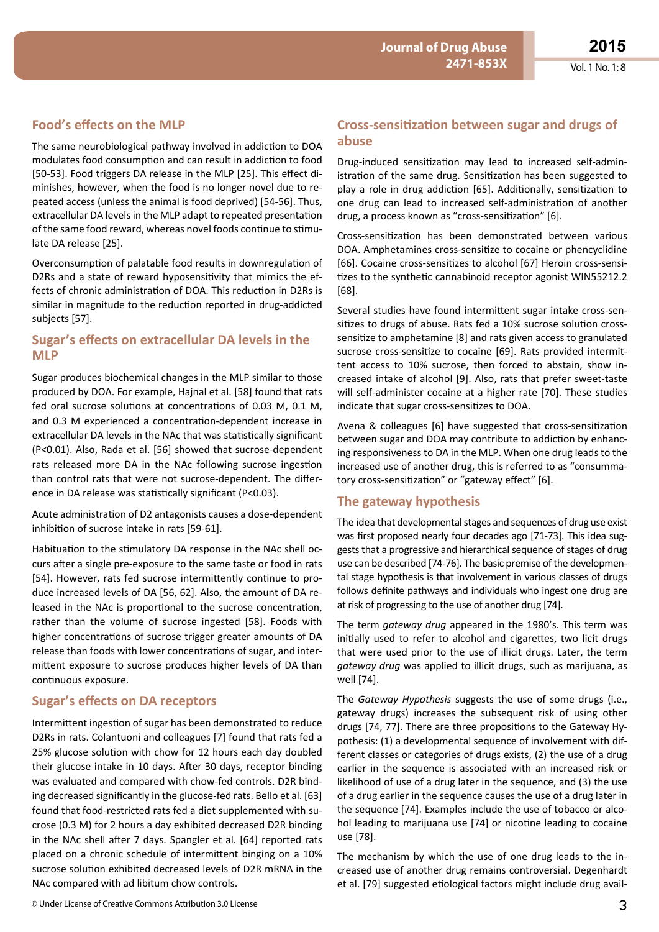### **Food's effects on the MLP**

The same neurobiological pathway involved in addiction to DOA modulates food consumption and can result in addiction to food [50-53]. Food triggers DA release in the MLP [25]. This effect diminishes, however, when the food is no longer novel due to repeated access (unless the animal is food deprived) [54-56]. Thus, extracellular DA levels in the MLP adapt to repeated presentation of the same food reward, whereas novel foods continue to stimulate DA release [25].

Overconsumption of palatable food results in downregulation of D2Rs and a state of reward hyposensitivity that mimics the effects of chronic administration of DOA. This reduction in D2Rs is similar in magnitude to the reduction reported in drug-addicted subjects [57].

#### **Sugar's effects on extracellular DA levels in the MLP**

Sugar produces biochemical changes in the MLP similar to those produced by DOA. For example, Hajnal et al. [58] found that rats fed oral sucrose solutions at concentrations of 0.03 M, 0.1 M, and 0.3 M experienced a concentration-dependent increase in extracellular DA levels in the NAc that was statistically significant (P<0.01). Also, Rada et al. [56] showed that sucrose-dependent rats released more DA in the NAc following sucrose ingestion than control rats that were not sucrose-dependent. The difference in DA release was statistically significant (P<0.03).

Acute administration of D2 antagonists causes a dose-dependent inhibition of sucrose intake in rats [59-61].

Habituation to the stimulatory DA response in the NAc shell occurs after a single pre-exposure to the same taste or food in rats [54]. However, rats fed sucrose intermittently continue to produce increased levels of DA [56, 62]. Also, the amount of DA released in the NAc is proportional to the sucrose concentration, rather than the volume of sucrose ingested [58]. Foods with higher concentrations of sucrose trigger greater amounts of DA release than foods with lower concentrations of sugar, and intermittent exposure to sucrose produces higher levels of DA than continuous exposure.

#### **Sugar's effects on DA receptors**

Intermittent ingestion of sugar has been demonstrated to reduce D2Rs in rats. Colantuoni and colleagues [7] found that rats fed a 25% glucose solution with chow for 12 hours each day doubled their glucose intake in 10 days. After 30 days, receptor binding was evaluated and compared with chow-fed controls. D2R binding decreased significantly in the glucose-fed rats. Bello et al. [63] found that food-restricted rats fed a diet supplemented with sucrose (0.3 M) for 2 hours a day exhibited decreased D2R binding in the NAc shell after 7 days. Spangler et al. [64] reported rats placed on a chronic schedule of intermittent binging on a 10% sucrose solution exhibited decreased levels of D2R mRNA in the NAc compared with ad libitum chow controls.

#### **Cross-sensitization between sugar and drugs of abuse**

Drug-induced sensitization may lead to increased self-administration of the same drug. Sensitization has been suggested to play a role in drug addiction [65]. Additionally, sensitization to one drug can lead to increased self-administration of another drug, a process known as "cross-sensitization" [6].

Cross-sensitization has been demonstrated between various DOA. Amphetamines cross-sensitize to cocaine or phencyclidine [66]. Cocaine cross-sensitizes to alcohol [67] Heroin cross-sensitizes to the synthetic cannabinoid receptor agonist WIN55212.2 [68].

Several studies have found intermittent sugar intake cross-sensitizes to drugs of abuse. Rats fed a 10% sucrose solution crosssensitize to amphetamine [8] and rats given access to granulated sucrose cross-sensitize to cocaine [69]. Rats provided intermittent access to 10% sucrose, then forced to abstain, show increased intake of alcohol [9]. Also, rats that prefer sweet-taste will self-administer cocaine at a higher rate [70]. These studies indicate that sugar cross-sensitizes to DOA.

Avena & colleagues [6] have suggested that cross-sensitization between sugar and DOA may contribute to addiction by enhancing responsiveness to DA in the MLP. When one drug leads to the increased use of another drug, this is referred to as "consummatory cross-sensitization" or "gateway effect" [6].

#### **The gateway hypothesis**

The idea that developmental stages and sequences of drug use exist was first proposed nearly four decades ago [71-73]. This idea suggests that a progressive and hierarchical sequence of stages of drug use can be described [74-76]. The basic premise of the developmental stage hypothesis is that involvement in various classes of drugs follows definite pathways and individuals who ingest one drug are at risk of progressing to the use of another drug [74].

The term *gateway drug* appeared in the 1980's. This term was initially used to refer to alcohol and cigarettes, two licit drugs that were used prior to the use of illicit drugs. Later, the term *gateway drug* was applied to illicit drugs, such as marijuana, as well [74].

The *Gateway Hypothesis* suggests the use of some drugs (i.e., gateway drugs) increases the subsequent risk of using other drugs [74, 77]. There are three propositions to the Gateway Hypothesis: (1) a developmental sequence of involvement with different classes or categories of drugs exists, (2) the use of a drug earlier in the sequence is associated with an increased risk or likelihood of use of a drug later in the sequence, and (3) the use of a drug earlier in the sequence causes the use of a drug later in the sequence [74]. Examples include the use of tobacco or alcohol leading to marijuana use [74] or nicotine leading to cocaine use [78].

The mechanism by which the use of one drug leads to the increased use of another drug remains controversial. Degenhardt et al. [79] suggested etiological factors might include drug avail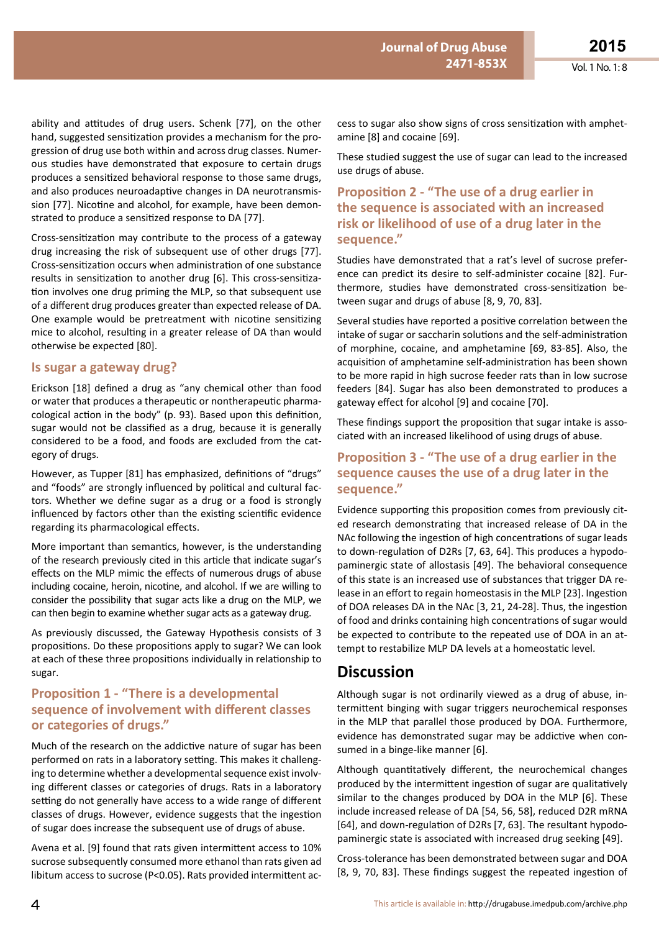ability and attitudes of drug users. Schenk [77], on the other hand, suggested sensitization provides a mechanism for the progression of drug use both within and across drug classes. Numerous studies have demonstrated that exposure to certain drugs produces a sensitized behavioral response to those same drugs, and also produces neuroadaptive changes in DA neurotransmission [77]. Nicotine and alcohol, for example, have been demonstrated to produce a sensitized response to DA [77].

Cross-sensitization may contribute to the process of a gateway drug increasing the risk of subsequent use of other drugs [77]. Cross-sensitization occurs when administration of one substance results in sensitization to another drug [6]. This cross-sensitization involves one drug priming the MLP, so that subsequent use of a different drug produces greater than expected release of DA. One example would be pretreatment with nicotine sensitizing mice to alcohol, resulting in a greater release of DA than would otherwise be expected [80].

#### **Is sugar a gateway drug?**

Erickson [18] defined a drug as "any chemical other than food or water that produces a therapeutic or nontherapeutic pharmacological action in the body" (p. 93). Based upon this definition, sugar would not be classified as a drug, because it is generally considered to be a food, and foods are excluded from the category of drugs.

However, as Tupper [81] has emphasized, definitions of "drugs" and "foods" are strongly influenced by political and cultural factors. Whether we define sugar as a drug or a food is strongly influenced by factors other than the existing scientific evidence regarding its pharmacological effects.

More important than semantics, however, is the understanding of the research previously cited in this article that indicate sugar's effects on the MLP mimic the effects of numerous drugs of abuse including cocaine, heroin, nicotine, and alcohol. If we are willing to consider the possibility that sugar acts like a drug on the MLP, we can then begin to examine whether sugar acts as a gateway drug.

As previously discussed, the Gateway Hypothesis consists of 3 propositions. Do these propositions apply to sugar? We can look at each of these three propositions individually in relationship to sugar.

## **Proposition 1 - "There is a developmental sequence of involvement with different classes or categories of drugs."**

Much of the research on the addictive nature of sugar has been performed on rats in a laboratory setting. This makes it challenging to determine whether a developmental sequence exist involving different classes or categories of drugs. Rats in a laboratory setting do not generally have access to a wide range of different classes of drugs. However, evidence suggests that the ingestion of sugar does increase the subsequent use of drugs of abuse.

Avena et al. [9] found that rats given intermittent access to 10% sucrose subsequently consumed more ethanol than rats given ad libitum access to sucrose (P<0.05). Rats provided intermittent ac-

cess to sugar also show signs of cross sensitization with amphetamine [8] and cocaine [69].

**ISSN 1698-9465 2471-853X**

**Journal of Drug Abuse** 

These studied suggest the use of sugar can lead to the increased use drugs of abuse.

### **Proposition 2 - "The use of a drug earlier in the sequence is associated with an increased risk or likelihood of use of a drug later in the sequence."**

Studies have demonstrated that a rat's level of sucrose preference can predict its desire to self-administer cocaine [82]. Furthermore, studies have demonstrated cross-sensitization between sugar and drugs of abuse [8, 9, 70, 83].

Several studies have reported a positive correlation between the intake of sugar or saccharin solutions and the self-administration of morphine, cocaine, and amphetamine [69, 83-85]. Also, the acquisition of amphetamine self-administration has been shown to be more rapid in high sucrose feeder rats than in low sucrose feeders [84]. Sugar has also been demonstrated to produces a gateway effect for alcohol [9] and cocaine [70].

These findings support the proposition that sugar intake is associated with an increased likelihood of using drugs of abuse.

### **Proposition 3 - "The use of a drug earlier in the sequence causes the use of a drug later in the sequence."**

Evidence supporting this proposition comes from previously cited research demonstrating that increased release of DA in the NAc following the ingestion of high concentrations of sugar leads to down-regulation of D2Rs [7, 63, 64]. This produces a hypodopaminergic state of allostasis [49]. The behavioral consequence of this state is an increased use of substances that trigger DA release in an effort to regain homeostasis in the MLP [23]. Ingestion of DOA releases DA in the NAc [3, 21, 24-28]. Thus, the ingestion of food and drinks containing high concentrations of sugar would be expected to contribute to the repeated use of DOA in an attempt to restabilize MLP DA levels at a homeostatic level.

# **Discussion**

Although sugar is not ordinarily viewed as a drug of abuse, intermittent binging with sugar triggers neurochemical responses in the MLP that parallel those produced by DOA. Furthermore, evidence has demonstrated sugar may be addictive when consumed in a binge-like manner [6].

Although quantitatively different, the neurochemical changes produced by the intermittent ingestion of sugar are qualitatively similar to the changes produced by DOA in the MLP [6]. These include increased release of DA [54, 56, 58], reduced D2R mRNA [64], and down-regulation of D2Rs [7, 63]. The resultant hypodopaminergic state is associated with increased drug seeking [49].

Cross-tolerance has been demonstrated between sugar and DOA [8, 9, 70, 83]. These findings suggest the repeated ingestion of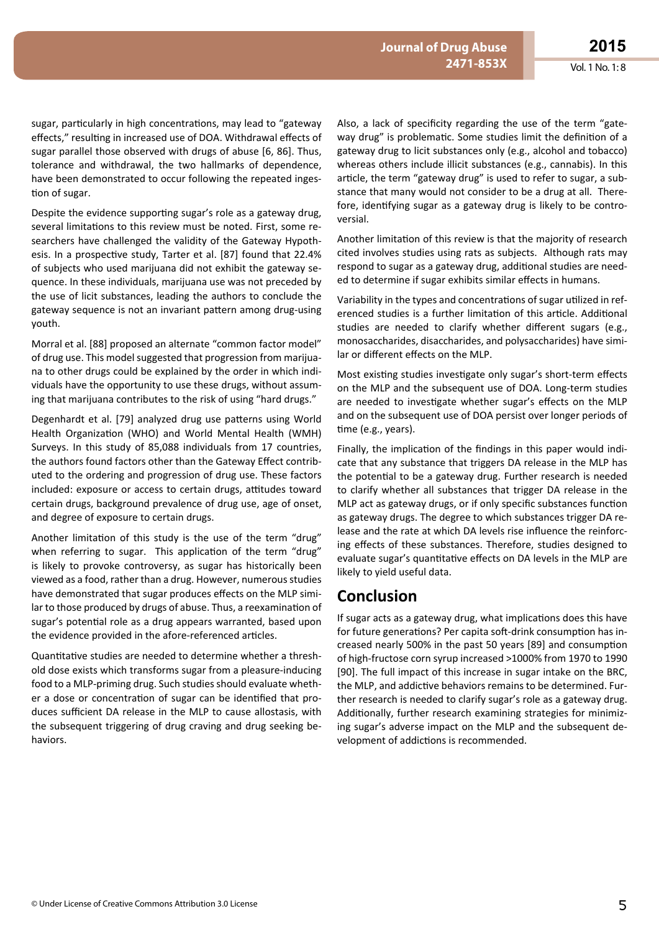sugar, particularly in high concentrations, may lead to "gateway effects," resulting in increased use of DOA. Withdrawal effects of sugar parallel those observed with drugs of abuse [6, 86]. Thus, tolerance and withdrawal, the two hallmarks of dependence, have been demonstrated to occur following the repeated ingestion of sugar.

Despite the evidence supporting sugar's role as a gateway drug, several limitations to this review must be noted. First, some researchers have challenged the validity of the Gateway Hypothesis. In a prospective study, Tarter et al. [87] found that 22.4% of subjects who used marijuana did not exhibit the gateway sequence. In these individuals, marijuana use was not preceded by the use of licit substances, leading the authors to conclude the gateway sequence is not an invariant pattern among drug-using youth.

Morral et al. [88] proposed an alternate "common factor model" of drug use. This model suggested that progression from marijuana to other drugs could be explained by the order in which individuals have the opportunity to use these drugs, without assuming that marijuana contributes to the risk of using "hard drugs."

Degenhardt et al. [79] analyzed drug use patterns using World Health Organization (WHO) and World Mental Health (WMH) Surveys. In this study of 85,088 individuals from 17 countries, the authors found factors other than the Gateway Effect contributed to the ordering and progression of drug use. These factors included: exposure or access to certain drugs, attitudes toward certain drugs, background prevalence of drug use, age of onset, and degree of exposure to certain drugs.

Another limitation of this study is the use of the term "drug" when referring to sugar. This application of the term "drug" is likely to provoke controversy, as sugar has historically been viewed as a food, rather than a drug. However, numerous studies have demonstrated that sugar produces effects on the MLP similar to those produced by drugs of abuse. Thus, a reexamination of sugar's potential role as a drug appears warranted, based upon the evidence provided in the afore-referenced articles.

Quantitative studies are needed to determine whether a threshold dose exists which transforms sugar from a pleasure-inducing food to a MLP-priming drug. Such studies should evaluate whether a dose or concentration of sugar can be identified that produces sufficient DA release in the MLP to cause allostasis, with the subsequent triggering of drug craving and drug seeking behaviors.

Also, a lack of specificity regarding the use of the term "gateway drug" is problematic. Some studies limit the definition of a gateway drug to licit substances only (e.g., alcohol and tobacco) whereas others include illicit substances (e.g., cannabis). In this article, the term "gateway drug" is used to refer to sugar, a substance that many would not consider to be a drug at all. Therefore, identifying sugar as a gateway drug is likely to be controversial.

Another limitation of this review is that the majority of research cited involves studies using rats as subjects. Although rats may respond to sugar as a gateway drug, additional studies are needed to determine if sugar exhibits similar effects in humans.

Variability in the types and concentrations of sugar utilized in referenced studies is a further limitation of this article. Additional studies are needed to clarify whether different sugars (e.g., monosaccharides, disaccharides, and polysaccharides) have similar or different effects on the MLP.

Most existing studies investigate only sugar's short-term effects on the MLP and the subsequent use of DOA. Long-term studies are needed to investigate whether sugar's effects on the MLP and on the subsequent use of DOA persist over longer periods of time (e.g., years).

Finally, the implication of the findings in this paper would indicate that any substance that triggers DA release in the MLP has the potential to be a gateway drug. Further research is needed to clarify whether all substances that trigger DA release in the MLP act as gateway drugs, or if only specific substances function as gateway drugs. The degree to which substances trigger DA release and the rate at which DA levels rise influence the reinforcing effects of these substances. Therefore, studies designed to evaluate sugar's quantitative effects on DA levels in the MLP are likely to yield useful data.

# **Conclusion**

If sugar acts as a gateway drug, what implications does this have for future generations? Per capita soft-drink consumption has increased nearly 500% in the past 50 years [89] and consumption of high-fructose corn syrup increased >1000% from 1970 to 1990 [90]. The full impact of this increase in sugar intake on the BRC, the MLP, and addictive behaviors remains to be determined. Further research is needed to clarify sugar's role as a gateway drug. Additionally, further research examining strategies for minimizing sugar's adverse impact on the MLP and the subsequent development of addictions is recommended.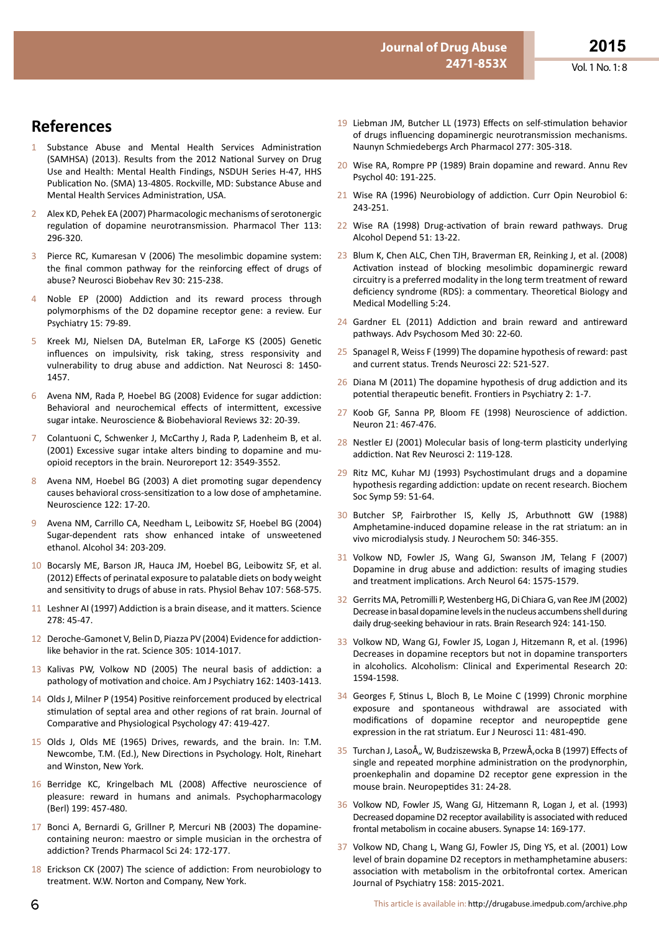Vol. 1 No. 1: 8

- **References**
- 1 Substance Abuse and Mental Health Services Administration (SAMHSA) (2013). Results from the 2012 National Survey on Drug Use and Health: Mental Health Findings, NSDUH Series H-47, HHS Publication No. (SMA) 13-4805. Rockville, MD: Substance Abuse and Mental Health Services Administration, USA.
- 2 Alex KD, Pehek EA (2007) Pharmacologic mechanisms of serotonergic regulation of dopamine neurotransmission. Pharmacol Ther 113: 296-320.
- 3 Pierce RC, Kumaresan V (2006) The mesolimbic dopamine system: the final common pathway for the reinforcing effect of drugs of abuse? Neurosci Biobehav Rev 30: 215-238.
- 4 Noble EP (2000) Addiction and its reward process through polymorphisms of the D2 dopamine receptor gene: a review. Eur Psychiatry 15: 79-89.
- 5 Kreek MJ, Nielsen DA, Butelman ER, LaForge KS (2005) Genetic influences on impulsivity, risk taking, stress responsivity and vulnerability to drug abuse and addiction. Nat Neurosci 8: 1450- 1457.
- 6 Avena NM, Rada P, Hoebel BG (2008) Evidence for sugar addiction: Behavioral and neurochemical effects of intermittent, excessive sugar intake. Neuroscience & Biobehavioral Reviews 32: 20-39.
- 7 Colantuoni C, Schwenker J, McCarthy J, Rada P, Ladenheim B, et al. (2001) Excessive sugar intake alters binding to dopamine and muopioid receptors in the brain. Neuroreport 12: 3549-3552.
- 8 Avena NM, Hoebel BG (2003) A diet promoting sugar dependency causes behavioral cross-sensitization to a low dose of amphetamine. Neuroscience 122: 17-20.
- 9 Avena NM, Carrillo CA, Needham L, Leibowitz SF, Hoebel BG (2004) Sugar-dependent rats show enhanced intake of unsweetened ethanol. Alcohol 34: 203-209.
- 10 Bocarsly ME, Barson JR, Hauca JM, Hoebel BG, Leibowitz SF, et al. (2012) Effects of perinatal exposure to palatable diets on body weight and sensitivity to drugs of abuse in rats. Physiol Behav 107: 568-575.
- 11 Leshner AI (1997) Addiction is a brain disease, and it matters. Science 278: 45-47.
- 12 Deroche-Gamonet V, Belin D, Piazza PV (2004) Evidence for addictionlike behavior in the rat. Science 305: 1014-1017.
- 13 Kalivas PW, Volkow ND (2005) The neural basis of addiction: a pathology of motivation and choice. Am J Psychiatry 162: 1403-1413.
- 14 Olds J, Milner P (1954) Positive reinforcement produced by electrical stimulation of septal area and other regions of rat brain. Journal of Comparative and Physiological Psychology 47: 419-427.
- 15 Olds J, Olds ME (1965) Drives, rewards, and the brain. In: T.M. Newcombe, T.M. (Ed.), New Directions in Psychology. Holt, Rinehart and Winston, New York.
- 16 Berridge KC, Kringelbach ML (2008) Affective neuroscience of pleasure: reward in humans and animals. Psychopharmacology (Berl) 199: 457-480.
- 17 Bonci A, Bernardi G, Grillner P, Mercuri NB (2003) The dopaminecontaining neuron: maestro or simple musician in the orchestra of addiction? Trends Pharmacol Sci 24: 172-177.
- 18 Erickson CK (2007) The science of addiction: From neurobiology to treatment. W.W. Norton and Company, New York.
- 19 Liebman JM, Butcher LL (1973) Effects on self-stimulation behavior of drugs influencing dopaminergic neurotransmission mechanisms. Naunyn Schmiedebergs Arch Pharmacol 277: 305-318.
- 20 Wise RA, Rompre PP (1989) Brain dopamine and reward. Annu Rev Psychol 40: 191-225.
- 21 Wise RA (1996) Neurobiology of addiction. Curr Opin Neurobiol 6: 243-251.
- 22 Wise RA (1998) Drug-activation of brain reward pathways. Drug Alcohol Depend 51: 13-22.
- 23 Blum K, Chen ALC, Chen TJH, Braverman ER, Reinking J, et al. (2008) Activation instead of blocking mesolimbic dopaminergic reward circuitry is a preferred modality in the long term treatment of reward deficiency syndrome (RDS): a commentary. Theoretical Biology and Medical Modelling 5:24.
- 24 Gardner EL (2011) Addiction and brain reward and antireward pathways. Adv Psychosom Med 30: 22-60.
- 25 Spanagel R, Weiss F (1999) The dopamine hypothesis of reward: past and current status. Trends Neurosci 22: 521-527.
- 26 Diana M (2011) The dopamine hypothesis of drug addiction and its potential therapeutic benefit. Frontiers in Psychiatry 2: 1-7.
- 27 Koob GF, Sanna PP, Bloom FE (1998) Neuroscience of addiction. Neuron 21: 467-476.
- 28 Nestler EJ (2001) Molecular basis of long-term plasticity underlying addiction. Nat Rev Neurosci 2: 119-128.
- 29 Ritz MC, Kuhar MJ (1993) Psychostimulant drugs and a dopamine hypothesis regarding addiction: update on recent research. Biochem Soc Symp 59: 51-64.
- 30 Butcher SP, Fairbrother IS, Kelly JS, Arbuthnott GW (1988) Amphetamine-induced dopamine release in the rat striatum: an in vivo microdialysis study. J Neurochem 50: 346-355.
- 31 Volkow ND, Fowler JS, Wang GJ, Swanson JM, Telang F (2007) Dopamine in drug abuse and addiction: results of imaging studies and treatment implications. Arch Neurol 64: 1575-1579.
- 32 Gerrits MA, Petromilli P, Westenberg HG, Di Chiara G, van Ree JM (2002) Decrease in basal dopamine levels in the nucleus accumbens shell during daily drug-seeking behaviour in rats. Brain Research 924: 141-150.
- 33 Volkow ND, Wang GJ, Fowler JS, Logan J, Hitzemann R, et al. (1996) Decreases in dopamine receptors but not in dopamine transporters in alcoholics. Alcoholism: Clinical and Experimental Research 20: 1594-1598.
- 34 Georges F, Stinus L, Bloch B, Le Moine C (1999) Chronic morphine exposure and spontaneous withdrawal are associated with modifications of dopamine receptor and neuropeptide gene expression in the rat striatum. Eur J Neurosci 11: 481-490.
- 35 Turchan J, LasoÅ,, W, Budziszewska B, PrzewÅ, ocka B (1997) Effects of single and repeated morphine administration on the prodynorphin, proenkephalin and dopamine D2 receptor gene expression in the mouse brain. Neuropeptides 31: 24-28.
- 36 Volkow ND, Fowler JS, Wang GJ, Hitzemann R, Logan J, et al. (1993) Decreased dopamine D2 receptor availability is associated with reduced frontal metabolism in cocaine abusers. Synapse 14: 169-177.
- 37 Volkow ND, Chang L, Wang GJ, Fowler JS, Ding YS, et al. (2001) Low level of brain dopamine D2 receptors in methamphetamine abusers: association with metabolism in the orbitofrontal cortex. American Journal of Psychiatry 158: 2015-2021.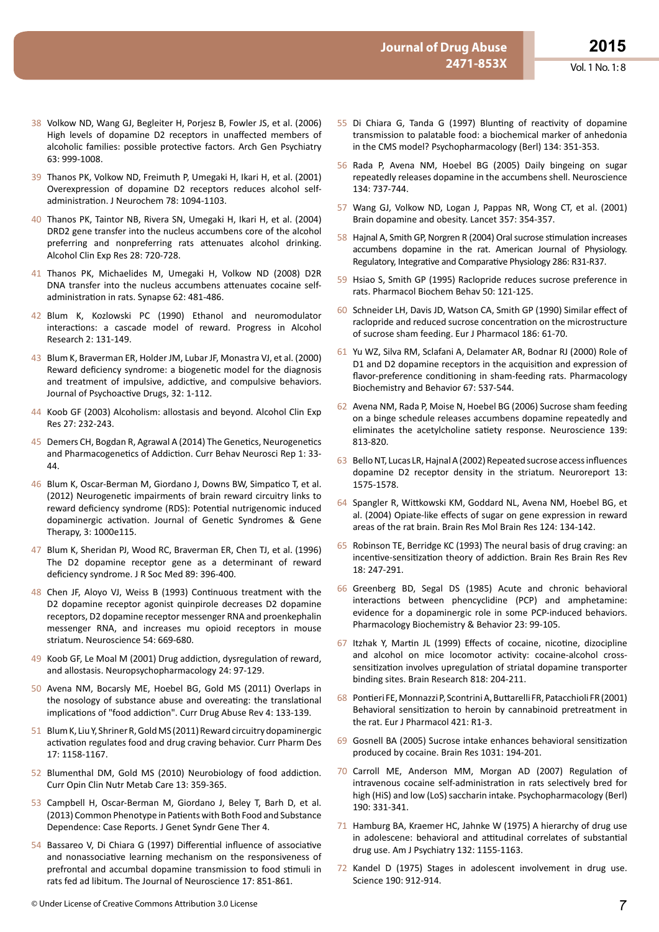- 38 Volkow ND, Wang GJ, Begleiter H, Porjesz B, Fowler JS, et al. (2006) High levels of dopamine D2 receptors in unaffected members of alcoholic families: possible protective factors. Arch Gen Psychiatry 63: 999-1008.
- 39 Thanos PK, Volkow ND, Freimuth P, Umegaki H, Ikari H, et al. (2001) Overexpression of dopamine D2 receptors reduces alcohol selfadministration. J Neurochem 78: 1094-1103.
- 40 Thanos PK, Taintor NB, Rivera SN, Umegaki H, Ikari H, et al. (2004) DRD2 gene transfer into the nucleus accumbens core of the alcohol preferring and nonpreferring rats attenuates alcohol drinking. Alcohol Clin Exp Res 28: 720-728.
- 41 Thanos PK, Michaelides M, Umegaki H, Volkow ND (2008) D2R DNA transfer into the nucleus accumbens attenuates cocaine selfadministration in rats. Synapse 62: 481-486.
- 42 Blum K, Kozlowski PC (1990) Ethanol and neuromodulator interactions: a cascade model of reward. Progress in Alcohol Research 2: 131-149.
- 43 Blum K, Braverman ER, Holder JM, Lubar JF, Monastra VJ, et al. (2000) Reward deficiency syndrome: a biogenetic model for the diagnosis and treatment of impulsive, addictive, and compulsive behaviors. Journal of Psychoactive Drugs, 32: 1-112.
- 44 Koob GF (2003) Alcoholism: allostasis and beyond. Alcohol Clin Exp Res 27: 232-243.
- 45 Demers CH, Bogdan R, Agrawal A (2014) The Genetics, Neurogenetics and Pharmacogenetics of Addiction. Curr Behav Neurosci Rep 1: 33- 44.
- 46 Blum K, Oscar-Berman M, Giordano J, Downs BW, Simpatico T, et al. (2012) Neurogenetic impairments of brain reward circuitry links to reward deficiency syndrome (RDS): Potential nutrigenomic induced dopaminergic activation. Journal of Genetic Syndromes & Gene Therapy, 3: 1000e115.
- 47 Blum K, Sheridan PJ, Wood RC, Braverman ER, Chen TJ, et al. (1996) The D2 dopamine receptor gene as a determinant of reward deficiency syndrome. J R Soc Med 89: 396-400.
- 48 Chen JF, Aloyo VJ, Weiss B (1993) Continuous treatment with the D2 dopamine receptor agonist quinpirole decreases D2 dopamine receptors, D2 dopamine receptor messenger RNA and proenkephalin messenger RNA, and increases mu opioid receptors in mouse striatum. Neuroscience 54: 669-680.
- 49 Koob GF, Le Moal M (2001) Drug addiction, dysregulation of reward, and allostasis. Neuropsychopharmacology 24: 97-129.
- 50 Avena NM, Bocarsly ME, Hoebel BG, Gold MS (2011) Overlaps in the nosology of substance abuse and overeating: the translational implications of "food addiction". Curr Drug Abuse Rev 4: 133-139.
- 51 Blum K, Liu Y, Shriner R, Gold MS (2011) Reward circuitry dopaminergic activation regulates food and drug craving behavior. Curr Pharm Des 17: 1158-1167.
- 52 Blumenthal DM, Gold MS (2010) Neurobiology of food addiction. Curr Opin Clin Nutr Metab Care 13: 359-365.
- 53 Campbell H, Oscar-Berman M, Giordano J, Beley T, Barh D, et al. (2013) Common Phenotype in Patients with Both Food and Substance Dependence: Case Reports. J Genet Syndr Gene Ther 4.
- 54 Bassareo V, Di Chiara G (1997) Differential influence of associative and nonassociative learning mechanism on the responsiveness of prefrontal and accumbal dopamine transmission to food stimuli in rats fed ad libitum. The Journal of Neuroscience 17: 851-861.
- 55 Di Chiara G, Tanda G (1997) Blunting of reactivity of dopamine transmission to palatable food: a biochemical marker of anhedonia in the CMS model? Psychopharmacology (Berl) 134: 351-353.
- 56 Rada P, Avena NM, Hoebel BG (2005) Daily bingeing on sugar repeatedly releases dopamine in the accumbens shell. Neuroscience 134: 737-744.
- 57 Wang GJ, Volkow ND, Logan J, Pappas NR, Wong CT, et al. (2001) Brain dopamine and obesity. Lancet 357: 354-357.
- 58 Hajnal A, Smith GP, Norgren R (2004) Oral sucrose stimulation increases accumbens dopamine in the rat. American Journal of Physiology. Regulatory, Integrative and Comparative Physiology 286: R31-R37.
- 59 Hsiao S, Smith GP (1995) Raclopride reduces sucrose preference in rats. Pharmacol Biochem Behav 50: 121-125.
- 60 Schneider LH, Davis JD, Watson CA, Smith GP (1990) Similar effect of raclopride and reduced sucrose concentration on the microstructure of sucrose sham feeding. Eur J Pharmacol 186: 61-70.
- 61 Yu WZ, Silva RM, Sclafani A, Delamater AR, Bodnar RJ (2000) Role of D1 and D2 dopamine receptors in the acquisition and expression of flavor-preference conditioning in sham-feeding rats. Pharmacology Biochemistry and Behavior 67: 537-544.
- 62 Avena NM, Rada P, Moise N, Hoebel BG (2006) Sucrose sham feeding on a binge schedule releases accumbens dopamine repeatedly and eliminates the acetylcholine satiety response. Neuroscience 139: 813-820.
- 63 BelloNT, Lucas LR,HajnalA(2002)Repeated sucrose accessinfluences dopamine D2 receptor density in the striatum. Neuroreport 13: 1575-1578.
- 64 Spangler R, Wittkowski KM, Goddard NL, Avena NM, Hoebel BG, et al. (2004) Opiate-like effects of sugar on gene expression in reward areas of the rat brain. Brain Res Mol Brain Res 124: 134-142.
- 65 Robinson TE, Berridge KC (1993) The neural basis of drug craving: an incentive-sensitization theory of addiction. Brain Res Brain Res Rev 18: 247-291.
- 66 Greenberg BD, Segal DS (1985) Acute and chronic behavioral interactions between phencyclidine (PCP) and amphetamine: evidence for a dopaminergic role in some PCP-induced behaviors. Pharmacology Biochemistry & Behavior 23: 99-105.
- 67 Itzhak Y, Martin JL (1999) Effects of cocaine, nicotine, dizocipline and alcohol on mice locomotor activity: cocaine-alcohol crosssensitization involves upregulation of striatal dopamine transporter binding sites. Brain Research 818: 204-211.
- 68 Pontieri FE,MonnazziP, ScontriniA,Buttarelli FR,Patacchioli FR(2001) Behavioral sensitization to heroin by cannabinoid pretreatment in the rat. Eur J Pharmacol 421: R1-3.
- 69 Gosnell BA (2005) Sucrose intake enhances behavioral sensitization produced by cocaine. Brain Res 1031: 194-201.
- 70 Carroll ME, Anderson MM, Morgan AD (2007) Regulation of intravenous cocaine self-administration in rats selectively bred for high (HiS) and low (LoS) saccharin intake. Psychopharmacology (Berl) 190: 331-341.
- 71 Hamburg BA, Kraemer HC, Jahnke W (1975) A hierarchy of drug use in adolescene: behavioral and attitudinal correlates of substantial drug use. Am J Psychiatry 132: 1155-1163.
- 72 Kandel D (1975) Stages in adolescent involvement in drug use. Science 190: 912-914.